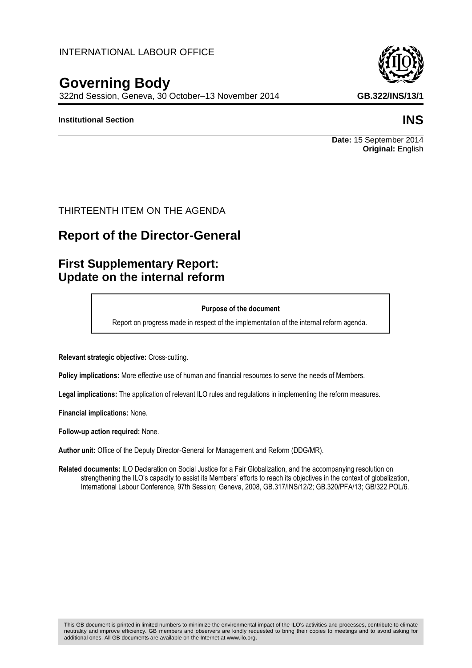### INTERNATIONAL LABOUR OFFICE

# **Governing Body**

322nd Session, Geneva, 30 October–13 November 2014 **GB.322/INS/13/1**

### **Institutional Section INS**

**Date:** 15 September 2014 **Original:** English

### THIRTEENTH ITEM ON THE AGENDA

# **Report of the Director-General**

# **First Supplementary Report: Update on the internal reform**

#### **Purpose of the document**

Report on progress made in respect of the implementation of the internal reform agenda.

**Relevant strategic objective:** Cross-cutting.

**Policy implications:** More effective use of human and financial resources to serve the needs of Members.

**Legal implications:** The application of relevant ILO rules and regulations in implementing the reform measures.

**Financial implications:** None.

**Follow-up action required:** None.

**Author unit:** Office of the Deputy Director-General for Management and Reform (DDG/MR).

**Related documents:** ILO Declaration on Social Justice for a Fair Globalization, and the accompanying resolution on strengthening the ILO's capacity to assist its Members' efforts to reach its objectives in the context of globalization, International Labour Conference, 97th Session; Geneva, 2008, GB.317/INS/12/2; GB.320/PFA/13; GB/322.POL/6.

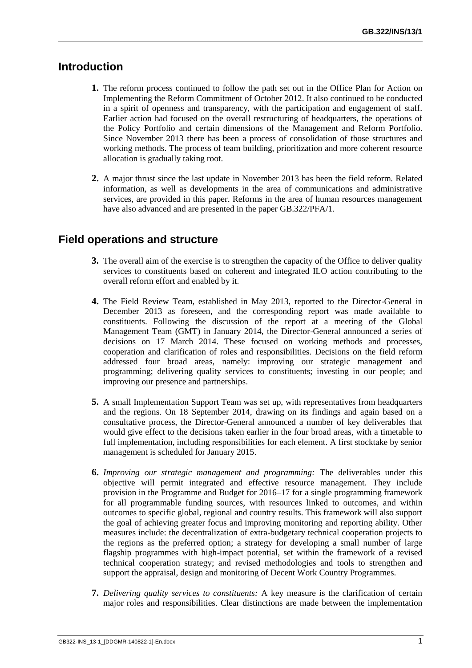## **Introduction**

- **1.** The reform process continued to follow the path set out in the Office Plan for Action on Implementing the Reform Commitment of October 2012. It also continued to be conducted in a spirit of openness and transparency, with the participation and engagement of staff. Earlier action had focused on the overall restructuring of headquarters, the operations of the Policy Portfolio and certain dimensions of the Management and Reform Portfolio. Since November 2013 there has been a process of consolidation of those structures and working methods. The process of team building, prioritization and more coherent resource allocation is gradually taking root.
- **2.** A major thrust since the last update in November 2013 has been the field reform. Related information, as well as developments in the area of communications and administrative services, are provided in this paper. Reforms in the area of human resources management have also advanced and are presented in the paper GB.322/PFA/1.

# **Field operations and structure**

- **3.** The overall aim of the exercise is to strengthen the capacity of the Office to deliver quality services to constituents based on coherent and integrated ILO action contributing to the overall reform effort and enabled by it.
- **4.** The Field Review Team, established in May 2013, reported to the Director-General in December 2013 as foreseen, and the corresponding report was made available to constituents. Following the discussion of the report at a meeting of the Global Management Team (GMT) in January 2014, the Director-General announced a series of decisions on 17 March 2014. These focused on working methods and processes, cooperation and clarification of roles and responsibilities. Decisions on the field reform addressed four broad areas, namely: improving our strategic management and programming; delivering quality services to constituents; investing in our people; and improving our presence and partnerships.
- **5.** A small Implementation Support Team was set up, with representatives from headquarters and the regions. On 18 September 2014, drawing on its findings and again based on a consultative process, the Director-General announced a number of key deliverables that would give effect to the decisions taken earlier in the four broad areas, with a timetable to full implementation, including responsibilities for each element. A first stocktake by senior management is scheduled for January 2015.
- **6.** *Improving our strategic management and programming:* The deliverables under this objective will permit integrated and effective resource management. They include provision in the Programme and Budget for 2016–17 for a single programming framework for all programmable funding sources, with resources linked to outcomes, and within outcomes to specific global, regional and country results. This framework will also support the goal of achieving greater focus and improving monitoring and reporting ability. Other measures include: the decentralization of extra-budgetary technical cooperation projects to the regions as the preferred option; a strategy for developing a small number of large flagship programmes with high-impact potential, set within the framework of a revised technical cooperation strategy; and revised methodologies and tools to strengthen and support the appraisal, design and monitoring of Decent Work Country Programmes.
- **7.** *Delivering quality services to constituents:* A key measure is the clarification of certain major roles and responsibilities. Clear distinctions are made between the implementation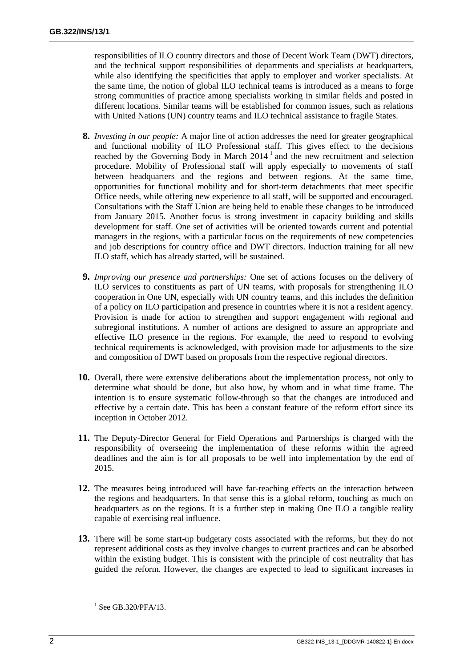responsibilities of ILO country directors and those of Decent Work Team (DWT) directors, and the technical support responsibilities of departments and specialists at headquarters, while also identifying the specificities that apply to employer and worker specialists. At the same time, the notion of global ILO technical teams is introduced as a means to forge strong communities of practice among specialists working in similar fields and posted in different locations. Similar teams will be established for common issues, such as relations with United Nations (UN) country teams and ILO technical assistance to fragile States.

- **8.** *Investing in our people:* A major line of action addresses the need for greater geographical and functional mobility of ILO Professional staff. This gives effect to the decisions reached by the Governing Body in March  $2014<sup>1</sup>$  and the new recruitment and selection procedure. Mobility of Professional staff will apply especially to movements of staff between headquarters and the regions and between regions. At the same time, opportunities for functional mobility and for short-term detachments that meet specific Office needs, while offering new experience to all staff, will be supported and encouraged. Consultations with the Staff Union are being held to enable these changes to be introduced from January 2015. Another focus is strong investment in capacity building and skills development for staff. One set of activities will be oriented towards current and potential managers in the regions, with a particular focus on the requirements of new competencies and job descriptions for country office and DWT directors. Induction training for all new ILO staff, which has already started, will be sustained.
- **9.** *Improving our presence and partnerships:* One set of actions focuses on the delivery of ILO services to constituents as part of UN teams, with proposals for strengthening ILO cooperation in One UN, especially with UN country teams, and this includes the definition of a policy on ILO participation and presence in countries where it is not a resident agency. Provision is made for action to strengthen and support engagement with regional and subregional institutions. A number of actions are designed to assure an appropriate and effective ILO presence in the regions. For example, the need to respond to evolving technical requirements is acknowledged, with provision made for adjustments to the size and composition of DWT based on proposals from the respective regional directors.
- **10.** Overall, there were extensive deliberations about the implementation process, not only to determine what should be done, but also how, by whom and in what time frame. The intention is to ensure systematic follow-through so that the changes are introduced and effective by a certain date. This has been a constant feature of the reform effort since its inception in October 2012.
- **11.** The Deputy-Director General for Field Operations and Partnerships is charged with the responsibility of overseeing the implementation of these reforms within the agreed deadlines and the aim is for all proposals to be well into implementation by the end of 2015.
- **12.** The measures being introduced will have far-reaching effects on the interaction between the regions and headquarters. In that sense this is a global reform, touching as much on headquarters as on the regions. It is a further step in making One ILO a tangible reality capable of exercising real influence.
- **13.** There will be some start-up budgetary costs associated with the reforms, but they do not represent additional costs as they involve changes to current practices and can be absorbed within the existing budget. This is consistent with the principle of cost neutrality that has guided the reform. However, the changes are expected to lead to significant increases in

 $1$  See GB.320/PFA/13.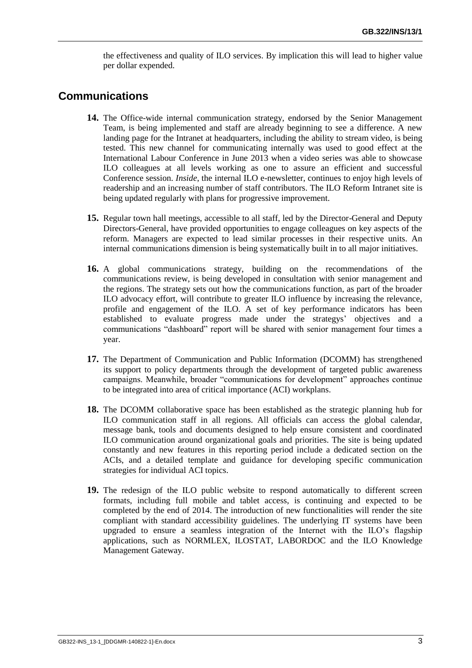the effectiveness and quality of ILO services. By implication this will lead to higher value per dollar expended.

### **Communications**

- **14.** The Office-wide internal communication strategy, endorsed by the Senior Management Team, is being implemented and staff are already beginning to see a difference. A new landing page for the Intranet at headquarters, including the ability to stream video, is being tested. This new channel for communicating internally was used to good effect at the International Labour Conference in June 2013 when a video series was able to showcase ILO colleagues at all levels working as one to assure an efficient and successful Conference session. *Inside*, the internal ILO e-newsletter, continues to enjoy high levels of readership and an increasing number of staff contributors. The ILO Reform Intranet site is being updated regularly with plans for progressive improvement.
- **15.** Regular town hall meetings, accessible to all staff, led by the Director-General and Deputy Directors-General, have provided opportunities to engage colleagues on key aspects of the reform. Managers are expected to lead similar processes in their respective units. An internal communications dimension is being systematically built in to all major initiatives.
- **16.** A global communications strategy, building on the recommendations of the communications review, is being developed in consultation with senior management and the regions. The strategy sets out how the communications function, as part of the broader ILO advocacy effort, will contribute to greater ILO influence by increasing the relevance, profile and engagement of the ILO. A set of key performance indicators has been established to evaluate progress made under the strategys' objectives and a communications "dashboard" report will be shared with senior management four times a year.
- **17.** The Department of Communication and Public Information (DCOMM) has strengthened its support to policy departments through the development of targeted public awareness campaigns. Meanwhile, broader "communications for development" approaches continue to be integrated into area of critical importance (ACI) workplans.
- **18.** The DCOMM collaborative space has been established as the strategic planning hub for ILO communication staff in all regions. All officials can access the global calendar, message bank, tools and documents designed to help ensure consistent and coordinated ILO communication around organizational goals and priorities. The site is being updated constantly and new features in this reporting period include a dedicated section on the ACIs, and a detailed template and guidance for developing specific communication strategies for individual ACI topics.
- **19.** The redesign of the ILO public website to respond automatically to different screen formats, including full mobile and tablet access, is continuing and expected to be completed by the end of 2014. The introduction of new functionalities will render the site compliant with standard accessibility guidelines. The underlying IT systems have been upgraded to ensure a seamless integration of the Internet with the ILO's flagship applications, such as NORMLEX, ILOSTAT, LABORDOC and the ILO Knowledge Management Gateway.